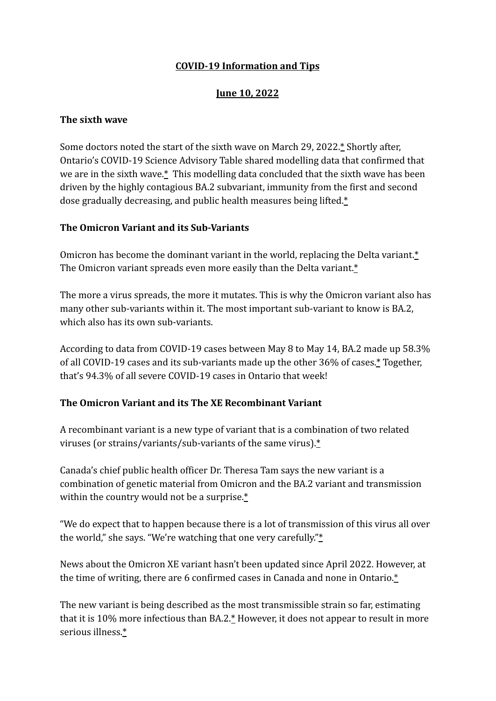## **June 10, 2022**

#### **The sixth wave**

Some doctors noted the start of the sixth wave on March 29, 2022.[\\*](https://toronto.ctvnews.ca/ontario-has-entered-the-sixth-covid-19-wave-doctors-say-1.5840183) Shortly after, Ontario's COVID-19 Science Advisory Table shared modelling data that confirmed that we are in the sixth wave[.\\*](https://toronto.citynews.ca/2022/04/14/ontario-covid-modelling-6th-wave/) This modelling data concluded that the sixth wave has been driven by the highly contagious BA.2 subvariant, immunity from the first and second dose gradually decreasing, and public health measures being lifted[.\\*](https://toronto.citynews.ca/2022/04/14/ontario-covid-modelling-6th-wave/)

#### **The Omicron Variant and its Sub-Variants**

Omicron has become the dominant variant in the world, replacing the Delta variant[.\\*](https://economictimes.indiatimes.com/magazines/panache/covid-19-omicron-xe-what-does-recombinant-mean-and-how-fast-does-this-variant-spread/articleshow/90926076.cms) The Omicron variant spreads even more easily than the Delta variant[.\\*](https://economictimes.indiatimes.com/magazines/panache/covid-19-omicron-xe-what-does-recombinant-mean-and-how-fast-does-this-variant-spread/articleshow/90926076.cms)

The more a virus spreads, the more it mutates. This is why the Omicron variant also has many other sub-variants within it. The most important sub-variant to know is BA.2, which also has its own sub-variants.

According to data from COVID-19 cases between May 8 to May 14, BA.2 made up 58.3% of all COVID-19 cases and its sub-variants made up the other 36% of cases[.\\*](https://www.publichealthontario.ca/-/media/Documents/nCoV/voc/covid-19-omicron-risk-assessment.pdf?sc_lang=en) Together, that's 94.3% of all severe COVID-19 cases in Ontario that week!

### **The Omicron Variant and its The XE Recombinant Variant**

A recombinant variant is a new type of variant that is a combination of two related viruses (or strains/variants/sub-variants of the same virus).[\\*](https://economictimes.indiatimes.com/magazines/panache/covid-19-omicron-xe-what-does-recombinant-mean-and-how-fast-does-this-variant-spread/articleshow/90926076.cms)

Canada's chief public health officer Dr. Theresa Tam says the new variant is a combination of genetic material from Omicron and the BA.2 variant and transmission within the country would not be a surprise.[\\*](https://toronto.citynews.ca/2022/04/14/ontario-covid-modelling-6th-wave/)

"We do expect that to happen because there is a lot of transmission of this virus all over the world," she says. "We're watching that one very carefully."[\\*](https://toronto.citynews.ca/2022/04/14/ontario-covid-modelling-6th-wave/)

News about the Omicron XE variant hasn't been updated since April 2022. However, at the time of writing, there are 6 confirmed cases in Canada and none in Ontario[.\\*](https://www.publichealthontario.ca/-/media/Documents/nCoV/voc/2022/04/omicron-variant-recombinant-lineage-xe.pdf?sc_lang=en)

The new variant is being described as the most transmissible strain so far, estimating that it is 10% more infectious than BA.2.[\\*](https://toronto.citynews.ca/2022/04/14/ontario-covid-modelling-6th-wave/) However, it does not appear to result in more serious illness[.\\*](https://toronto.citynews.ca/2022/04/14/ontario-covid-modelling-6th-wave/)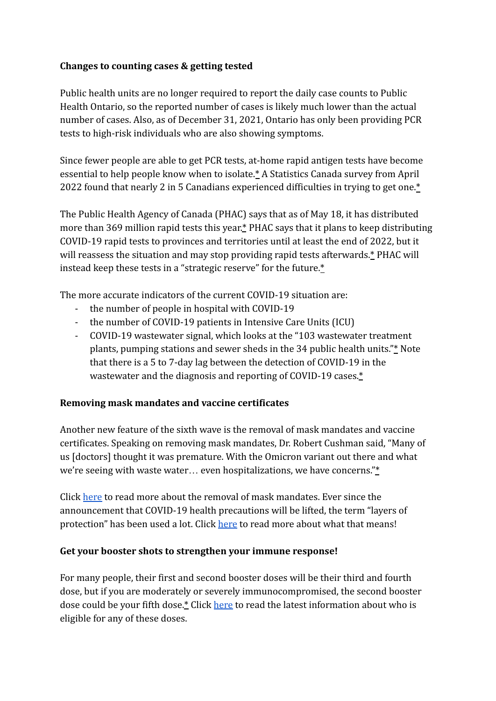# **Changes to counting cases & getting tested**

Public health units are no longer required to report the daily case counts to Public Health Ontario, so the reported number of cases is likely much lower than the actual number of cases. Also, as of December 31, 2021, Ontario has only been providing PCR tests to high-risk individuals who are also showing symptoms.

Since fewer people are able to get PCR tests, at-home rapid antigen tests have become essential to help people know when to isolate.[\\*](https://www.ctvnews.ca/health/ottawa-to-reassess-rapid-test-distribution-to-provinces-territories-by-year-s-end-phac-says-1.5933142) A Statistics Canada survey from April 2022 found that nearly 2 in 5 Canadians experienced difficulties in trying to get one.[\\*](https://www.ctvnews.ca/health/ottawa-to-reassess-rapid-test-distribution-to-provinces-territories-by-year-s-end-phac-says-1.5933142)

The Public Health Agency of Canada (PHAC) says that as of May 18, it has distributed more than 369 million rapid tests this year[.\\*](https://www.ctvnews.ca/health/ottawa-to-reassess-rapid-test-distribution-to-provinces-territories-by-year-s-end-phac-says-1.5933142) PHAC says that it plans to keep distributing COVID-19 rapid tests to provinces and territories until at least the end of 2022, but it will reassess the situation and may stop providing rapid tests afterwards.[\\*](https://www.ctvnews.ca/health/ottawa-to-reassess-rapid-test-distribution-to-provinces-territories-by-year-s-end-phac-says-1.5933142) PHAC will instead keep these tests in a "strategic reserve" for the future.[\\*](https://www.ctvnews.ca/health/ottawa-to-reassess-rapid-test-distribution-to-provinces-territories-by-year-s-end-phac-says-1.5933142)

The more accurate indicators of the current COVID-19 situation are:

- the number of people in hospital with COVID-19
- the number of COVID-19 patients in Intensive Care Units (ICU)
- COVID-19 wastewater signal, which looks at the "103 wastewater treatment plants, pumping stations and sewer sheds in the 34 public health units.["\\*](https://toronto.citynews.ca/2022/04/14/ontario-covid-modelling-6th-wave/) Note that there is a 5 to 7-day lag between the detection of COVID-19 in the wastewater and the diagnosis and reporting of COVID-19 cases. $*$

### **Removing mask mandates and vaccine certificates**

Another new feature of the sixth wave is the removal of mask mandates and vaccine certificates. Speaking on removing mask mandates, Dr. Robert Cushman said, "Many of us [doctors] thought it was premature. With the Omicron variant out there and what we're seeing with waste water… even hospitalizations, we have concerns.["\\*](https://ottawa.ctvnews.ca/video?clipId=2415662)

Click [here](https://www.nydp.ca/uploads/1/5/1/7/15170544/why_people_arent_wearing_masks_anymore.pdf) to read more about the removal of mask mandates. Ever since the announcement that COVID-19 health precautions will be lifted, the term "layers of protection" has been used a lot. Click [here](https://www.nydp.ca/uploads/1/5/1/7/15170544/layers_of_protection_explained.pdf) to read more about what that means!

### **Get your booster shots to strengthen your immune response!**

For many people, their first and second booster doses will be their third and fourth dose, but if you are moderately or severely immunocompromised, the second booster dose could be your fifth dose[.\\*](https://www.toronto.ca/home/covid-19/covid-19-vaccines/covid-19-vaccine-eligibility-doses/) Click [here](https://www.toronto.ca/home/covid-19/covid-19-vaccines/covid-19-vaccine-eligibility-doses/) to read the latest information about who is eligible for any of these doses.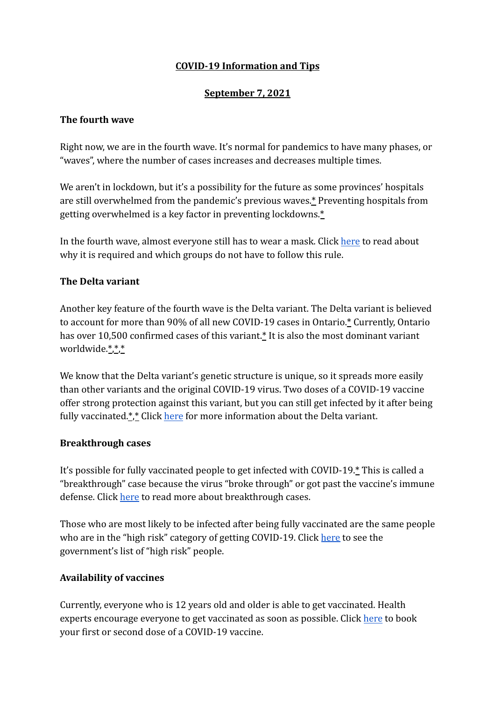# **September 7, 2021**

### **The fourth wave**

Right now, we are in the fourth wave. It's normal for pandemics to have many phases, or "waves", where the number of cases increases and decreases multiple times.

We aren't in lockdown, but it's a possibility for the future as some provinces' hospitals are still overwhelmed from the pandemic's previous waves[.\\*](https://www.ctvnews.ca/health/coronavirus/vaccines-not-enough-to-stop-fourth-wave-of-covid-19-in-canada-experts-warn-1.5560876) Preventing hospitals from getting overwhelmed is a key factor in preventing lockdowns.[\\*](https://www.ctvnews.ca/health/coronavirus/vaccines-not-enough-to-stop-fourth-wave-of-covid-19-in-canada-experts-warn-1.5560876)

In the fourth wave, almost everyone still has to wear a mask. Click [here](https://www.nydp.ca/uploads/1/5/1/7/15170544/why_we_still_have_to_wear_masks.pdf) to read about why it is required and which groups do not have to follow this rule.

### **The Delta variant**

Another key feature of the fourth wave is the Delta variant. The Delta variant is believed to account for more than 90% of all new COVID-19 cases in Ontario[.\\*](https://toronto.ctvnews.ca/ontario-s-top-doctor-suggests-new-vaccination-target-to-account-for-risk-posed-by-delta-variant-1.5516590) Currently, Ontario has over 10,500 confirmed cases of this variant.<sup>\*</sup> It is also the most dominant variant worldwide.[\\*](https://www.ctvnews.ca/health/coronavirus/delta-spreads-like-wildfire-as-doctors-study-whether-it-makes-patients-sicker-1.5531741)[,\\*](https://globalnews.ca/news/8033826/delta-covid-variant-dominant-strain-worldwide/),[\\*](https://www.cnbc.com/2021/08/06/covid-charts-show-how-far-delta-variant-has-spread-around-the-world.html)

We know that the Delta variant's genetic structure is unique, so it spreads more easily than other variants and the original COVID-19 virus. Two doses of a COVID-19 vaccine offer strong protection against this variant, but you can still get infected by it after being fully vaccinated. $\frac{4}{1}$  Click [here](https://www.nydp.ca/uploads/1/5/1/7/15170544/the_delta_variant_explained.pdf) for more information about the Delta variant.

#### **Breakthrough cases**

It's possible for fully vaccinated people to get infected with COVID-19.[\\*](https://www.ctvnews.ca/health/coronavirus/vaccines-not-enough-to-stop-fourth-wave-of-covid-19-in-canada-experts-warn-1.5560876) This is called a "breakthrough" case because the virus "broke through" or got past the vaccine's immune defense. Click [here](https://www.nydp.ca/uploads/1/5/1/7/15170544/website_memo_august_30.pdf) to read more about breakthrough cases.

Those who are most likely to be infected after being fully vaccinated are the same people who are in the "high risk" category of getting COVID-19. Click [here](https://www.canada.ca/en/public-health/services/publications/diseases-conditions/people-highrisk-for-severe-illness-covid-19.html) to see the government's list of "high risk" people.

### **Availability of vaccines**

Currently, everyone who is 12 years old and older is able to get vaccinated. Health experts encourage everyone to get vaccinated as soon as possible. Click [here](https://covid-19.ontario.ca/book-vaccine/) to book your first or second dose of a COVID-19 vaccine.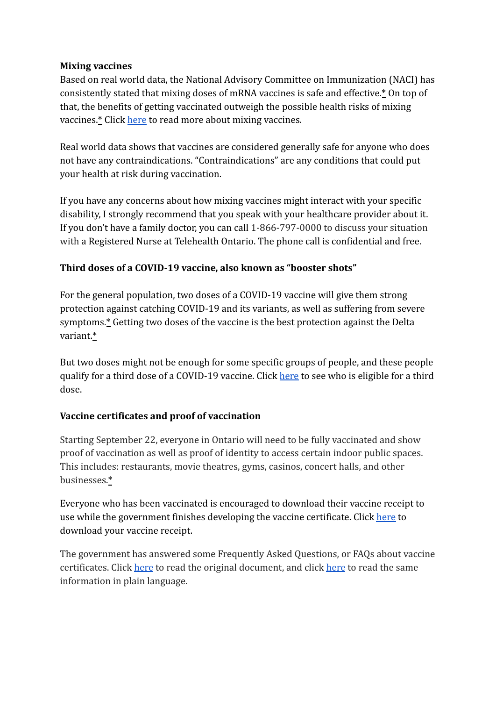### **Mixing vaccines**

Based on real world data, the National Advisory Committee on Immunization (NACI) has consistently stated that mixing doses of mRNA vaccines is safe and effective.[\\*](https://www.canada.ca/en/public-health/services/immunization/national-advisory-committee-on-immunization-naci/recommendations-use-covid-19-vaccines.html) On top of that, the benefits of getting vaccinated outweigh the possible health risks of mixing vaccines.[\\*](https://www.canada.ca/en/public-health/services/immunization/national-advisory-committee-on-immunization-naci/recommendations-use-covid-19-vaccines.html) Click [here](https://covid-19.ontario.ca/covid19-cms-assets/2021-06/moh-second-dose-factsheet-en-2021-06-20.pdf) to read more about mixing vaccines.

Real world data shows that vaccines are considered generally safe for anyone who does not have any contraindications. "Contraindications" are any conditions that could put your health at risk during vaccination.

If you have any concerns about how mixing vaccines might interact with your specific disability, I strongly recommend that you speak with your healthcare provider about it. If you don't have a family doctor, you can call 1-866-797-0000 to discuss your situation with a Registered Nurse at Telehealth Ontario. The phone call is confidential and free.

# **Third doses of a COVID-19 vaccine, also known as "booster shots"**

For the general population, two doses of a COVID-19 vaccine will give them strong protection against catching COVID-19 and its variants, as well as suffering from severe symptoms.[\\*](https://www.health.gov.on.ca/en/pro/programs/publichealth/coronavirus/docs/vaccine/COVID-19_vaccination_rec_special_populations.pdf) Getting two doses of the vaccine is the best protection against the Delta variant[.\\*](https://www.health.gov.on.ca/en/pro/programs/publichealth/coronavirus/docs/vaccine/COVID-19_vaccination_rec_special_populations.pdf)

But two doses might not be enough for some specific groups of people, and these people qualify for a third dose of a COVID-19 vaccine. Click [here](https://www.nydp.ca/uploads/1/5/1/7/15170544/do_you_qualify_for_a_third_dose_of_a_covid-19_vaccine.pdf) to see who is eligible for a third dose.

### **Vaccine certificates and proof of vaccination**

Starting September 22, everyone in Ontario will need to be fully vaccinated and show proof of vaccination as well as proof of identity to access certain indoor public spaces. This includes: restaurants, movie theatres, gyms, casinos, concert halls, and other businesses[.\\*](https://news.ontario.ca/en/release/1000779/ontario-to-require-proof-of-vaccination-in-select-settings)

Everyone who has been vaccinated is encouraged to download their vaccine receipt to use while the government finishes developing the vaccine certificate. Click [here](https://covid19.ontariohealth.ca/) to download your vaccine receipt.

The government has answered some Frequently Asked Questions, or FAQs about vaccine certificates. Click [here](https://news.ontario.ca/en/backgrounder/1000780/new-requirement-for-proof-of-vaccination-in-certain-settings-frequently-asked-questions) to read the original document, and click [here](https://www.nydp.ca/uploads/1/5/1/7/15170544/vaccine_certificate_faqs.pdf) to read the same information in plain language.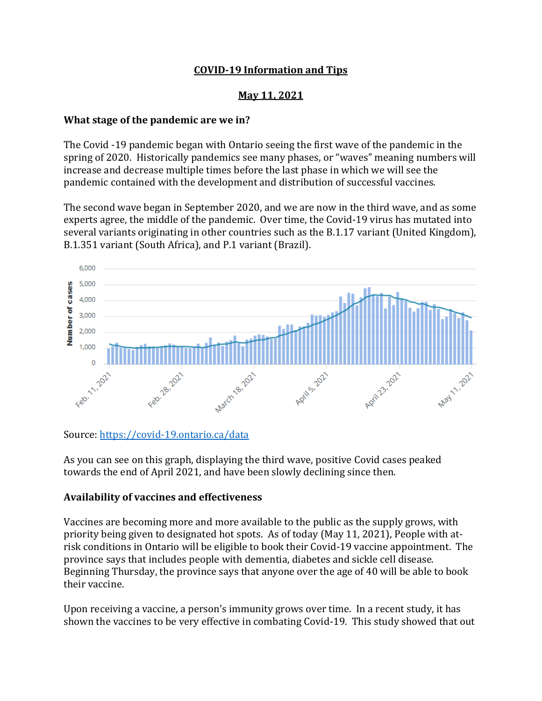#### **May 11, 2021**

#### **What stage of the pandemic are we in?**

The Covid -19 pandemic began with Ontario seeing the first wave of the pandemic in the spring of 2020. Historically pandemics see many phases, or "waves" meaning numbers will increase and decrease multiple times before the last phase in which we will see the pandemic contained with the development and distribution of successful vaccines.

The second wave began in September 2020, and we are now in the third wave, and as some experts agree, the middle of the pandemic. Over time, the Covid-19 virus has mutated into several variants originating in other countries such as the B.1.17 variant (United Kingdom), B.1.351 variant (South Africa), and P.1 variant (Brazil).



Source:<https://covid-19.ontario.ca/data>

As you can see on this graph, displaying the third wave, positive Covid cases peaked towards the end of April 2021, and have been slowly declining since then.

#### **Availability of vaccines and effectiveness**

Vaccines are becoming more and more available to the public as the supply grows, with priority being given to designated hot spots. As of today (May 11, 2021), People with atrisk conditions in Ontario will be eligible to book their Covid-19 vaccine appointment. The province says that includes people with dementia, diabetes and sickle cell disease. Beginning Thursday, the province says that anyone over the age of 40 will be able to book their vaccine.

Upon receiving a vaccine, a person's immunity grows over time. In a recent study, it has shown the vaccines to be very effective in combating Covid-19. This study showed that out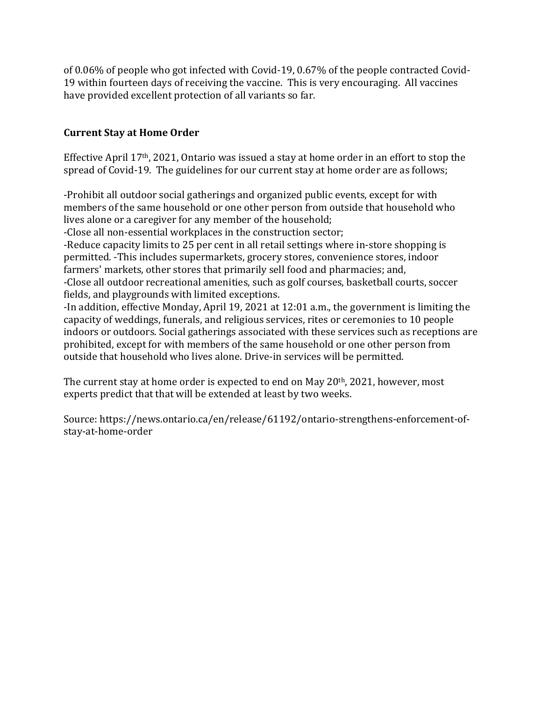of 0.06% of people who got infected with Covid-19, 0.67% of the people contracted Covid-19 within fourteen days of receiving the vaccine. This is very encouraging. All vaccines have provided excellent protection of all variants so far.

## **Current Stay at Home Order**

Effective April 17th, 2021, Ontario was issued a stay at home order in an effort to stop the spread of Covid-19. The guidelines for our current stay at home order are as follows;

-Prohibit all outdoor social gatherings and organized public events, except for with members of the same household or one other person from outside that household who lives alone or a caregiver for any member of the household;

-Close all non-essential workplaces in the construction sector;

-Reduce capacity limits to 25 per cent in all retail settings where in-store shopping is permitted. -This includes supermarkets, grocery stores, convenience stores, indoor farmers' markets, other stores that primarily sell food and pharmacies; and, -Close all outdoor recreational amenities, such as golf courses, basketball courts, soccer fields, and playgrounds with limited exceptions.

-In addition, effective Monday, April 19, 2021 at 12:01 a.m., the government is limiting the capacity of weddings, funerals, and religious services, rites or ceremonies to 10 people indoors or outdoors. Social gatherings associated with these services such as receptions are prohibited, except for with members of the same household or one other person from outside that household who lives alone. Drive-in services will be permitted.

The current stay at home order is expected to end on May 20th, 2021, however, most experts predict that that will be extended at least by two weeks.

Source: https://news.ontario.ca/en/release/61192/ontario-strengthens-enforcement-ofstay-at-home-order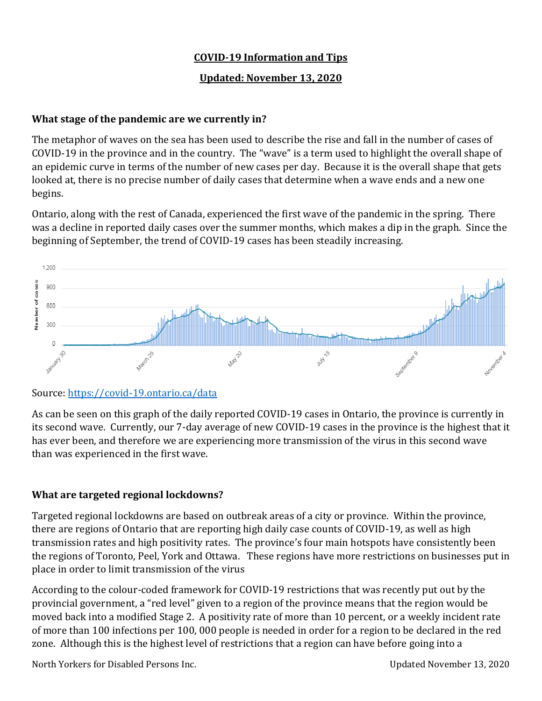### **Updated: November 13, 2020**

# **What stage of the pandemic are we currently in?**

The metaphor of waves on the sea has been used to describe the rise and fall in the number of cases of COVID-19 in the province and in the country. The "wave" is a term used to highlight the overall shape of an epidemic curve in terms of the number of new cases per day. Because it is the overall shape that gets looked at, there is no precise number of daily cases that determine when a wave ends and a new one begins.

Ontario, along with the rest of Canada, experienced the first wave of the pandemic in the spring. There was a decline in reported daily cases over the summer months, which makes a dip in the graph. Since the beginning of September, the trend of COVID-19 cases has been steadily increasing.



# Source:<https://covid-19.ontario.ca/data>

As can be seen on this graph of the daily reported COVID-19 cases in Ontario, the province is currently in its second wave. Currently, our 7-day average of new COVID-19 cases in the province is the highest that it has ever been, and therefore we are experiencing more transmission of the virus in this second wave than was experienced in the first wave.

# **What are targeted regional lockdowns?**

Targeted regional lockdowns are based on outbreak areas of a city or province. Within the province, there are regions of Ontario that are reporting high daily case counts of COVID-19, as well as high transmission rates and high positivity rates. The province's four main hotspots have consistently been the regions of Toronto, Peel, York and Ottawa. These regions have more restrictions on businesses put in place in order to limit transmission of the virus

According to the colour-coded framework for COVID-19 restrictions that was recently put out by the provincial government, a "red level" given to a region of the province means that the region would be moved back into a modified Stage 2. A positivity rate of more than 10 percent, or a weekly incident rate of more than 100 infections per 100, 000 people is needed in order for a region to be declared in the red zone. Although this is the highest level of restrictions that a region can have before going into a

North Yorkers for Disabled Persons Inc. Updated November 13, 2020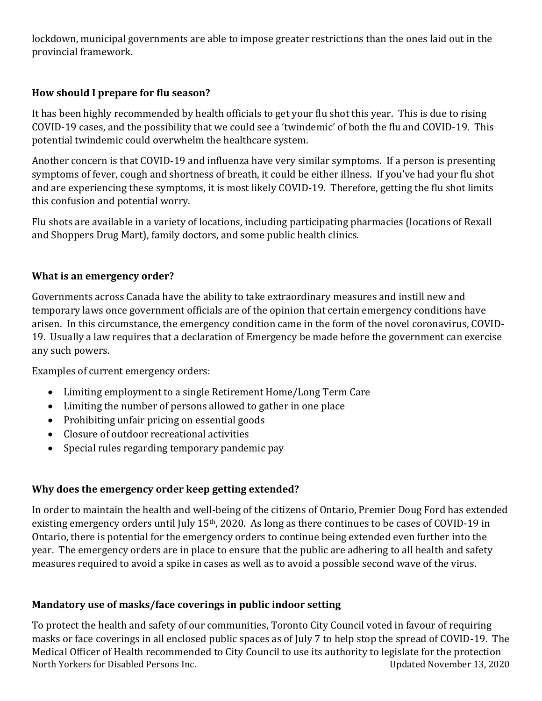lockdown, municipal governments are able to impose greater restrictions than the ones laid out in the provincial framework.

# **How should I prepare for flu season?**

It has been highly recommended by health officials to get your flu shot this year. This is due to rising COVID-19 cases, and the possibility that we could see a 'twindemic' of both the flu and COVID-19. This potential twindemic could overwhelm the healthcare system.

Another concern is that COVID-19 and influenza have very similar symptoms. If a person is presenting symptoms of fever, cough and shortness of breath, it could be either illness. If you've had your flu shot and are experiencing these symptoms, it is most likely COVID-19. Therefore, getting the flu shot limits this confusion and potential worry.

Flu shots are available in a variety of locations, including participating pharmacies (locations of Rexall and Shoppers Drug Mart), family doctors, and some public health clinics.

#### **What is an emergency order?**

Governments across Canada have the ability to take extraordinary measures and instill new and temporary laws once government officials are of the opinion that certain emergency conditions have arisen. In this circumstance, the emergency condition came in the form of the novel coronavirus, COVID-19. Usually a law requires that a declaration of Emergency be made before the government can exercise any such powers.

Examples of current emergency orders:

- Limiting employment to a single Retirement Home/Long Term Care
- Limiting the number of persons allowed to gather in one place
- Prohibiting unfair pricing on essential goods
- Closure of outdoor recreational activities
- Special rules regarding temporary pandemic pay

### **Why does the emergency order keep getting extended?**

In order to maintain the health and well-being of the citizens of Ontario, Premier Doug Ford has extended existing emergency orders until July 15<sup>th</sup>, 2020. As long as there continues to be cases of COVID-19 in Ontario, there is potential for the emergency orders to continue being extended even further into the year. The emergency orders are in place to ensure that the public are adhering to all health and safety measures required to avoid a spike in cases as well as to avoid a possible second wave of the virus.

### **Mandatory use of masks/face coverings in public indoor setting**

North Yorkers for Disabled Persons Inc. Updated November 13, 2020 To protect the health and safety of our communities, Toronto City Council voted in favour of requiring masks or face coverings in all enclosed public spaces as of July 7 to help stop the spread of COVID-19. The Medical Officer of Health recommended to City Council to use its authority to legislate for the protection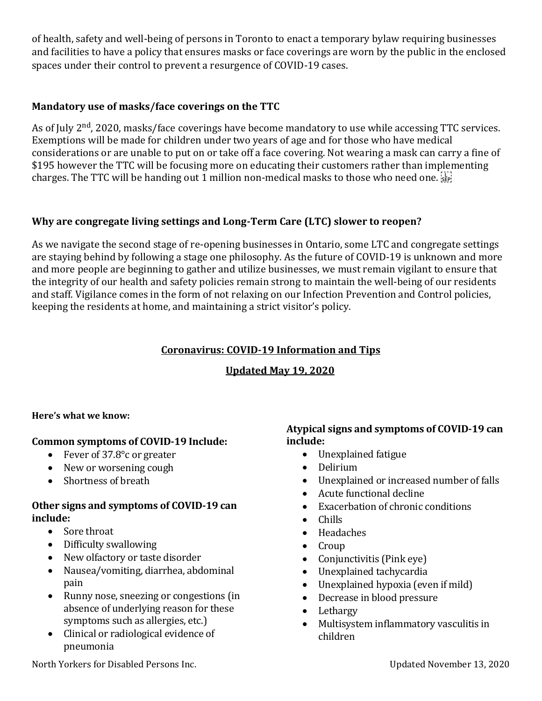of health, safety and well-being of persons in Toronto to enact a temporary bylaw requiring businesses and facilities to have a policy that ensures masks or face coverings are worn by the public in the enclosed spaces under their control to prevent a resurgence of COVID-19 cases.

### **Mandatory use of masks/face coverings on the TTC**

As of July 2<sup>nd</sup>, 2020, masks/face coverings have become mandatory to use while accessing TTC services. Exemptions will be made for children under two years of age and for those who have medical considerations or are unable to put on or take off a face covering. Not wearing a mask can carry a fine of \$195 however the TTC will be focusing more on educating their customers rather than implementing charges. The TTC will be handing out 1 million non-medical masks to those who need one.

### **Why are congregate living settings and Long-Term Care (LTC) slower to reopen?**

As we navigate the second stage of re-opening businesses in Ontario, some LTC and congregate settings are staying behind by following a stage one philosophy. As the future of COVID-19 is unknown and more and more people are beginning to gather and utilize businesses, we must remain vigilant to ensure that the integrity of our health and safety policies remain strong to maintain the well-being of our residents and staff. Vigilance comes in the form of not relaxing on our Infection Prevention and Control policies, keeping the residents at home, and maintaining a strict visitor's policy.

#### **Coronavirus: COVID-19 Information and Tips**

### **Updated May 19, 2020**

#### **Here's what we know:**

#### **Common symptoms of COVID-19 Include:**

- Fever of 37.8° c or greater
- New or worsening cough
- Shortness of breath

#### **Other signs and symptoms of COVID-19 can include:**

- Sore throat
- Difficulty swallowing
- New olfactory or taste disorder
- Nausea/vomiting, diarrhea, abdominal pain
- Runny nose, sneezing or congestions (in absence of underlying reason for these symptoms such as allergies, etc.)
- Clinical or radiological evidence of pneumonia

#### **Atypical signs and symptoms of COVID-19 can include:**

- Unexplained fatigue
- Delirium
- Unexplained or increased number of falls
- Acute functional decline
- Exacerbation of chronic conditions
- Chills
- Headaches
- Croup
- Conjunctivitis (Pink eye)
- Unexplained tachycardia
- Unexplained hypoxia (even if mild)
- Decrease in blood pressure
- Lethargy
- Multisystem inflammatory vasculitis in children

North Yorkers for Disabled Persons Inc. Updated November 13, 2020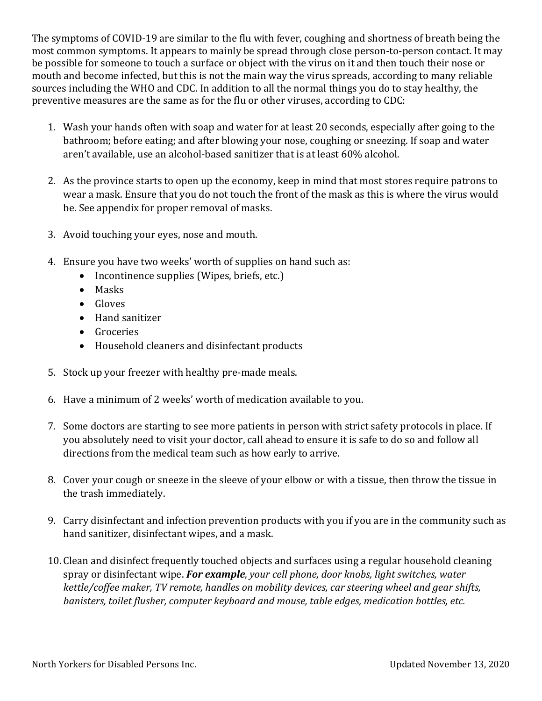The symptoms of COVID-19 are similar to the flu with fever, coughing and shortness of breath being the most common symptoms. It appears to mainly be spread through close person-to-person contact. It may be possible for someone to touch a surface or object with the virus on it and then touch their nose or mouth and become infected, but this is not the main way the virus spreads, according to many reliable sources including the WHO and CDC. In addition to all the normal things you do to stay healthy, the preventive measures are the same as for the flu or other viruses, according to CDC:

- 1. Wash your hands often with soap and water for at least 20 seconds, especially after going to the bathroom; before eating; and after blowing your nose, coughing or sneezing. If soap and water aren't available, use an alcohol-based sanitizer that is at least 60% alcohol.
- 2. As the province starts to open up the economy, keep in mind that most stores require patrons to wear a mask. Ensure that you do not touch the front of the mask as this is where the virus would be. See appendix for proper removal of masks.
- 3. Avoid touching your eyes, nose and mouth.
- 4. Ensure you have two weeks' worth of supplies on hand such as:
	- Incontinence supplies (Wipes, briefs, etc.)
	- Masks
	- Gloves
	- Hand sanitizer
	- Groceries
	- Household cleaners and disinfectant products
- 5. Stock up your freezer with healthy pre-made meals.
- 6. Have a minimum of 2 weeks' worth of medication available to you.
- 7. Some doctors are starting to see more patients in person with strict safety protocols in place. If you absolutely need to visit your doctor, call ahead to ensure it is safe to do so and follow all directions from the medical team such as how early to arrive.
- 8. Cover your cough or sneeze in the sleeve of your elbow or with a tissue, then throw the tissue in the trash immediately.
- 9. Carry disinfectant and infection prevention products with you if you are in the community such as hand sanitizer, disinfectant wipes, and a mask.
- 10. Clean and disinfect frequently touched objects and surfaces using a regular household cleaning spray or disinfectant wipe. *For example, your cell phone, door knobs, light switches, water kettle/coffee maker, TV remote, handles on mobility devices, car steering wheel and gear shifts, banisters, toilet flusher, computer keyboard and mouse, table edges, medication bottles, etc.*